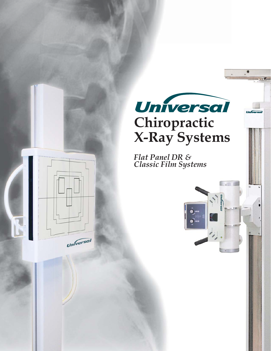

*Flat Panel DR & Classic Film Systems*

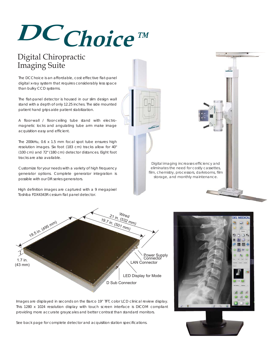## **DC Choice™**

### Digital Chiropractic Imaging Suite

The DCChoice is an affordable, cost effective flat-panel digital x-ray system that requires considerably less space than bulky CCD systems.

The flat-panel detector is housed in our slim design wall stand with a depth of only 12.25 inches. The side mounted patient hand grips aide patient stabilization.

A floor-wall / floor-ceiling tube stand with electromagnetic locks and angulating tube arm make image acquisition easy and efficient.

The 200kHu, 0.6 x 1.5 mm focal spot tube ensures high resolution images. Six foot (183 cm) tracks allow for 40" (100 cm) and 72" (180 cm) detector distances. Eight foot tracks are also available.

Customize for your needs with a variety of high frequency generator options. Complete generator integration is possible with our DR series generators.

High definition images are captured with a 9 megapixel Toshiba FDX4343R cesium flat panel detector.





Images are displayed in seconds on the Barco 19" TFT, color LCD clinical review display. This 1280 x 1024 resolution display with touch screen interface is DICOM compliant providing more accurate grayscales and better contrast than standard monitors.

See back page for complete detector and acquisition station specifications.



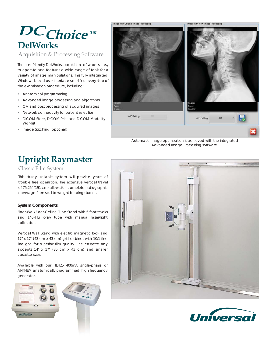## **DelWorks DC Choice™**

Acquisition & Processing Software

The user-friendly DelWorks acquisition software is easy to operate and features a wide range of tools for a variety of image manipulations. This fully integrated, Windows-based user interface simplifies every step of the examination procedure, including:

- Anatomical programming
- Advanced image processing and algorithms
- QA and post processing of acquired images
- Network connectivity for patient selection
- DICOM Store, DICOM Print and DICOM Modality **Worklist**
- Image Stitching (optional)

# Image with Original Image Processing mage with New Image Processing AIE Setting AIE Setting

*Automatic image optimization is achieved with the integrated Advanced Image Processing software.* 



Classic Film System

This sturdy, reliable system will provide years of trouble free operation. The extensive vertical travel of 75.25" (191 cm) allows for complete radiographic coverage from skull to weight bearing studies.

### **System Components:**

Floor-Wall/Floor-Ceiling Tube Stand with 6 foot tracks and 140kHu x-ray tube with manual laser-light collimator.

Vertical Wall Stand with electro magnetic lock and 17" x 17" (43 cm x 43 cm) grid cabinet with 10:1 fine line grid for superior film quality. The cassette tray accepts 14" x 17" (35 cm x 43 cm) and smaller cassette sizes.

Available with our HE425 400mA single-phase or ANTHEM anatomically programmed, high frequency generator.